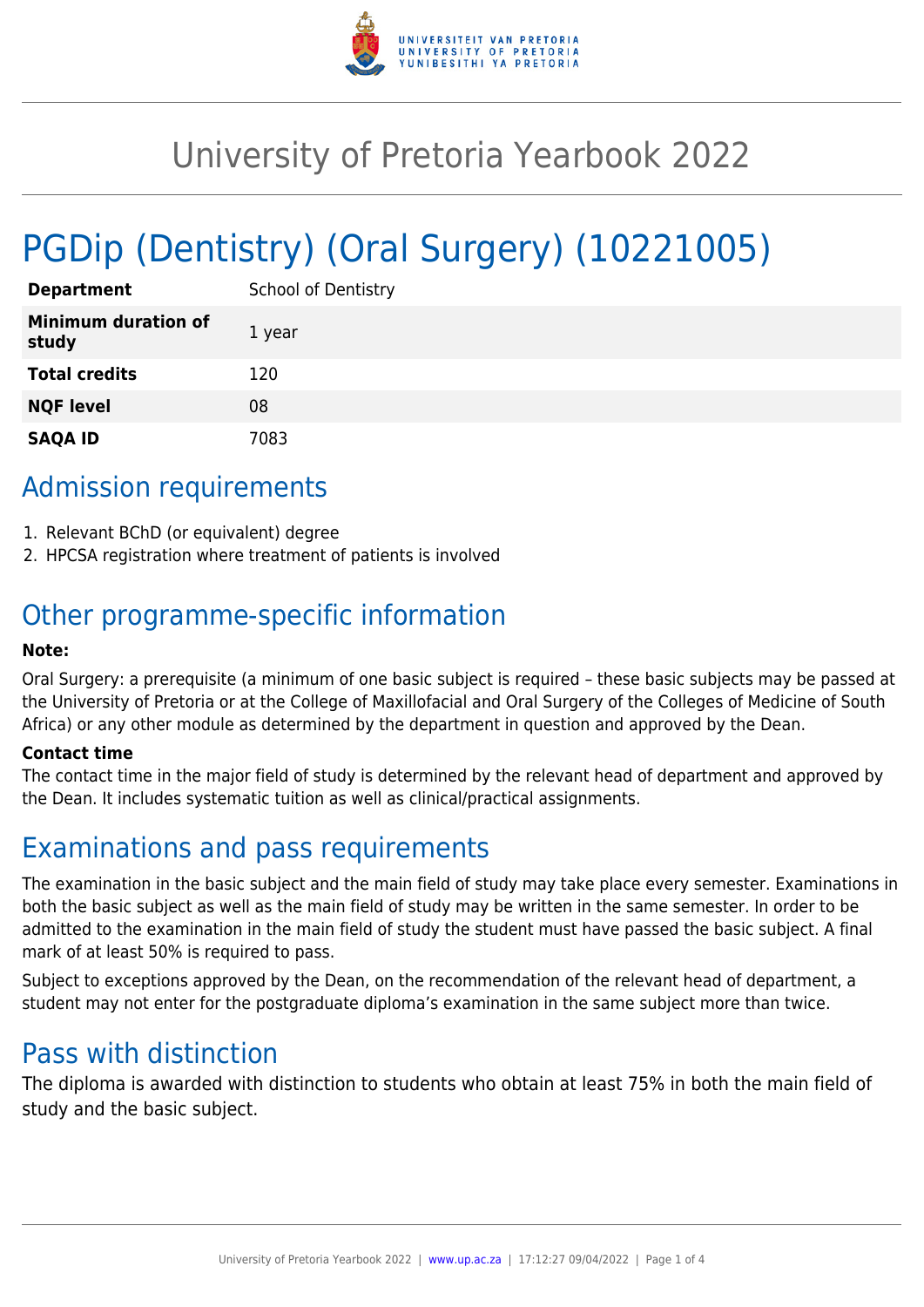

# University of Pretoria Yearbook 2022

# PGDip (Dentistry) (Oral Surgery) (10221005)

| <b>Department</b>                   | <b>School of Dentistry</b> |
|-------------------------------------|----------------------------|
| <b>Minimum duration of</b><br>study | 1 year                     |
| <b>Total credits</b>                | 120                        |
| <b>NQF level</b>                    | 08                         |
| <b>SAQA ID</b>                      | 7083                       |

# Admission requirements

- 1. Relevant BChD (or equivalent) degree
- 2. HPCSA registration where treatment of patients is involved

# Other programme-specific information

#### **Note:**

Oral Surgery: a prerequisite (a minimum of one basic subject is required – these basic subjects may be passed at the University of Pretoria or at the College of Maxillofacial and Oral Surgery of the Colleges of Medicine of South Africa) or any other module as determined by the department in question and approved by the Dean.

#### **Contact time**

The contact time in the major field of study is determined by the relevant head of department and approved by the Dean. It includes systematic tuition as well as clinical/practical assignments.

# Examinations and pass requirements

The examination in the basic subject and the main field of study may take place every semester. Examinations in both the basic subject as well as the main field of study may be written in the same semester. In order to be admitted to the examination in the main field of study the student must have passed the basic subject. A final mark of at least 50% is required to pass.

Subject to exceptions approved by the Dean, on the recommendation of the relevant head of department, a student may not enter for the postgraduate diploma's examination in the same subject more than twice.

# Pass with distinction

The diploma is awarded with distinction to students who obtain at least 75% in both the main field of study and the basic subject.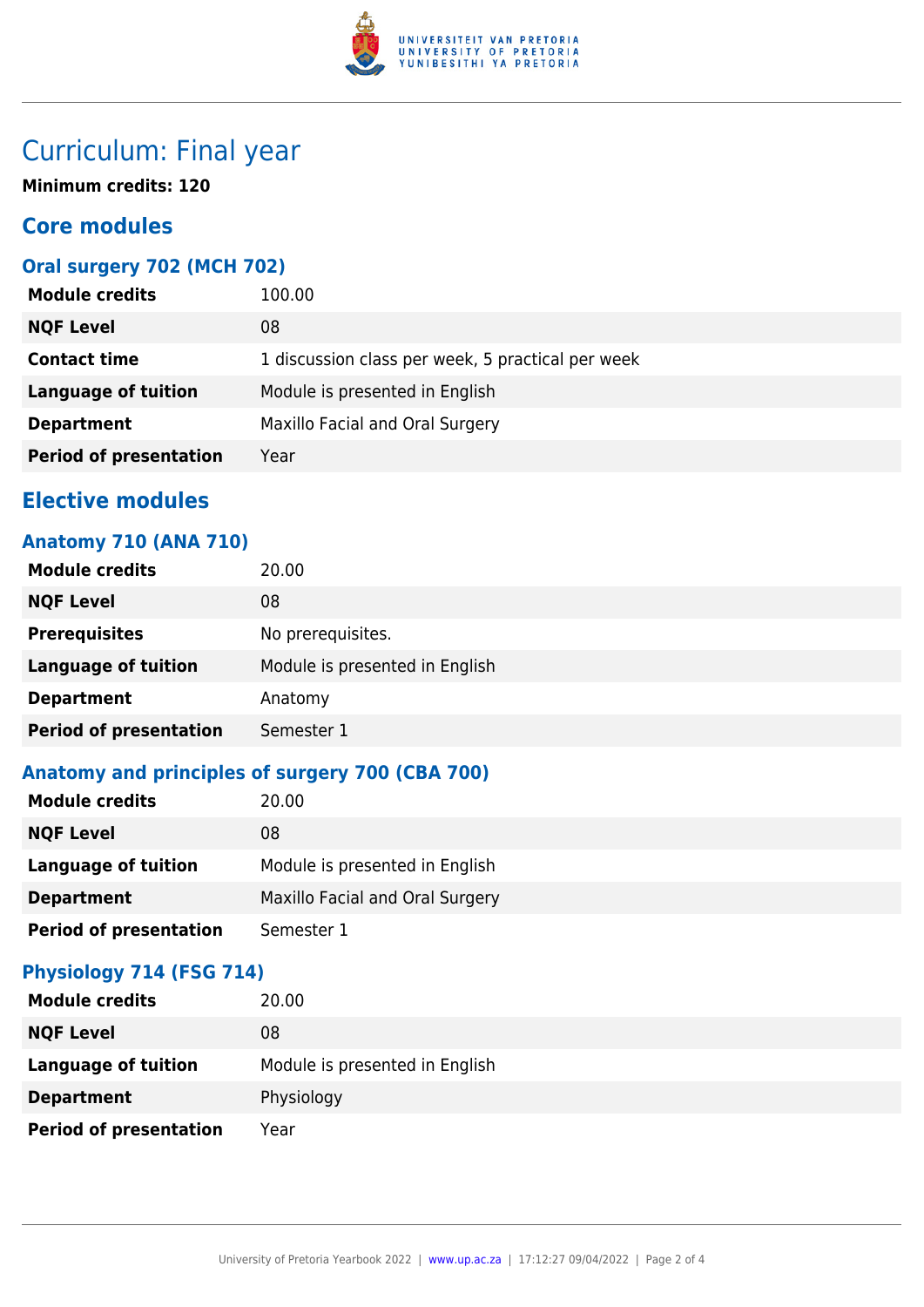

# Curriculum: Final year

**Minimum credits: 120**

## **Core modules**

### **Oral surgery 702 (MCH 702)**

| <b>Module credits</b>         | 100.00                                            |
|-------------------------------|---------------------------------------------------|
| <b>NQF Level</b>              | 08                                                |
| <b>Contact time</b>           | 1 discussion class per week, 5 practical per week |
| <b>Language of tuition</b>    | Module is presented in English                    |
| <b>Department</b>             | Maxillo Facial and Oral Surgery                   |
| <b>Period of presentation</b> | Year                                              |

# **Elective modules**

## **Anatomy 710 (ANA 710)**

| <b>Module credits</b>         | 20.00                          |
|-------------------------------|--------------------------------|
| <b>NQF Level</b>              | 08                             |
| <b>Prerequisites</b>          | No prerequisites.              |
| <b>Language of tuition</b>    | Module is presented in English |
| <b>Department</b>             | Anatomy                        |
| <b>Period of presentation</b> | Semester 1                     |

### **Anatomy and principles of surgery 700 (CBA 700)**

| <b>Module credits</b>         | 20.00                           |
|-------------------------------|---------------------------------|
| <b>NQF Level</b>              | 08                              |
| Language of tuition           | Module is presented in English  |
| <b>Department</b>             | Maxillo Facial and Oral Surgery |
| <b>Period of presentation</b> | Semester 1                      |

### **Physiology 714 (FSG 714)**

| <b>Module credits</b>         | 20.00                          |
|-------------------------------|--------------------------------|
| <b>NQF Level</b>              | 08                             |
| <b>Language of tuition</b>    | Module is presented in English |
| <b>Department</b>             | Physiology                     |
| <b>Period of presentation</b> | Year                           |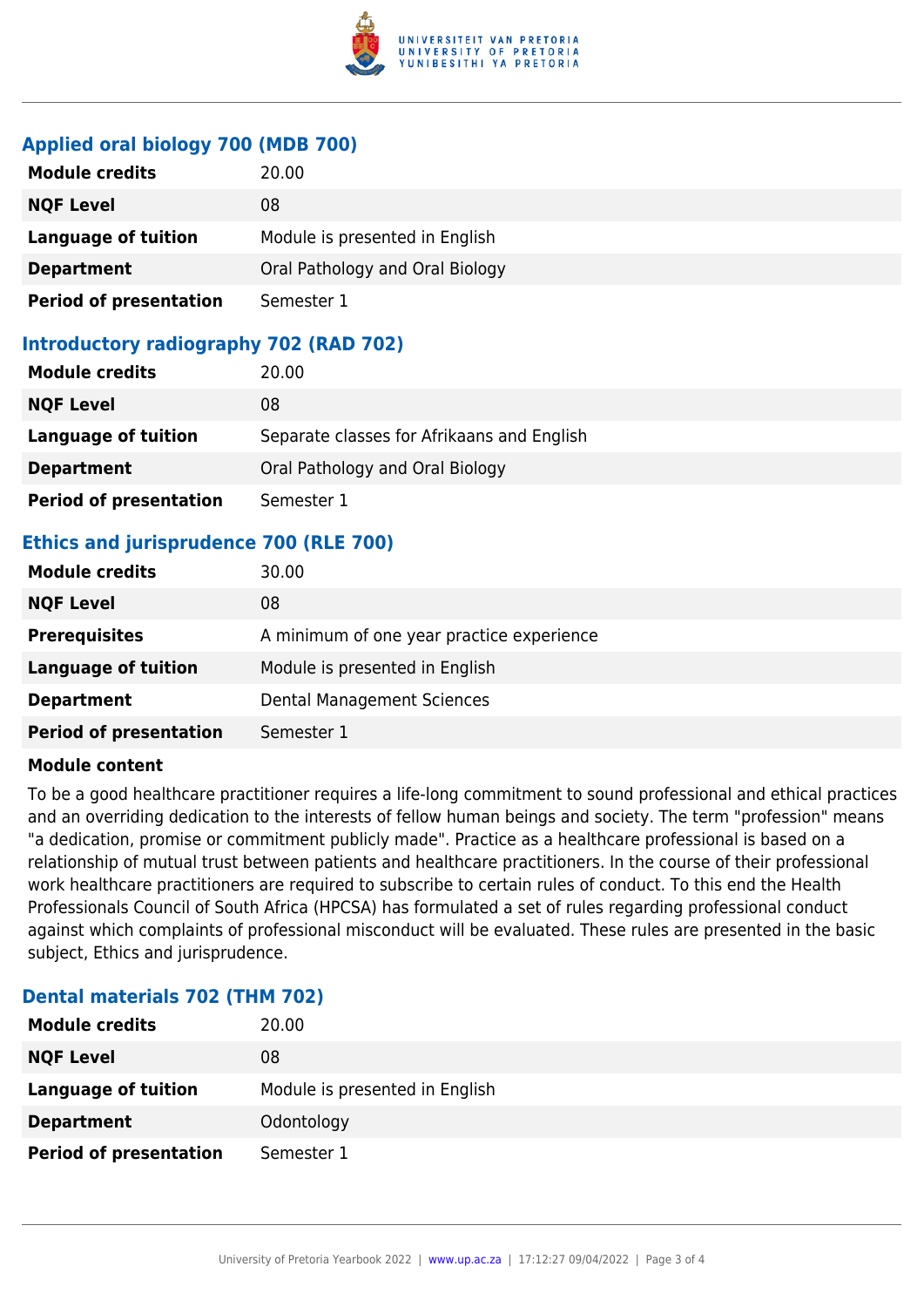

#### **Applied oral biology 700 (MDB 700)**

| <b>Module credits</b>         | 20.00                           |
|-------------------------------|---------------------------------|
| <b>NQF Level</b>              | 08                              |
| Language of tuition           | Module is presented in English  |
| <b>Department</b>             | Oral Pathology and Oral Biology |
| <b>Period of presentation</b> | Semester 1                      |

### **Introductory radiography 702 (RAD 702)**

| <b>Module credits</b>         | 20.00                                      |
|-------------------------------|--------------------------------------------|
| <b>NQF Level</b>              | 08                                         |
| Language of tuition           | Separate classes for Afrikaans and English |
| <b>Department</b>             | Oral Pathology and Oral Biology            |
| <b>Period of presentation</b> | Semester 1                                 |

### **Ethics and jurisprudence 700 (RLE 700)**

| <b>Module credits</b>         | 30.00                                     |
|-------------------------------|-------------------------------------------|
| <b>NQF Level</b>              | 08                                        |
| <b>Prerequisites</b>          | A minimum of one year practice experience |
| Language of tuition           | Module is presented in English            |
| <b>Department</b>             | <b>Dental Management Sciences</b>         |
| <b>Period of presentation</b> | Semester 1                                |

#### **Module content**

To be a good healthcare practitioner requires a life-long commitment to sound professional and ethical practices and an overriding dedication to the interests of fellow human beings and society. The term "profession" means "a dedication, promise or commitment publicly made". Practice as a healthcare professional is based on a relationship of mutual trust between patients and healthcare practitioners. In the course of their professional work healthcare practitioners are required to subscribe to certain rules of conduct. To this end the Health Professionals Council of South Africa (HPCSA) has formulated a set of rules regarding professional conduct against which complaints of professional misconduct will be evaluated. These rules are presented in the basic subject, Ethics and jurisprudence.

#### **Dental materials 702 (THM 702)**

| <b>Module credits</b>         | 20.00                          |
|-------------------------------|--------------------------------|
| <b>NQF Level</b>              | 08                             |
| Language of tuition           | Module is presented in English |
| <b>Department</b>             | Odontology                     |
| <b>Period of presentation</b> | Semester 1                     |